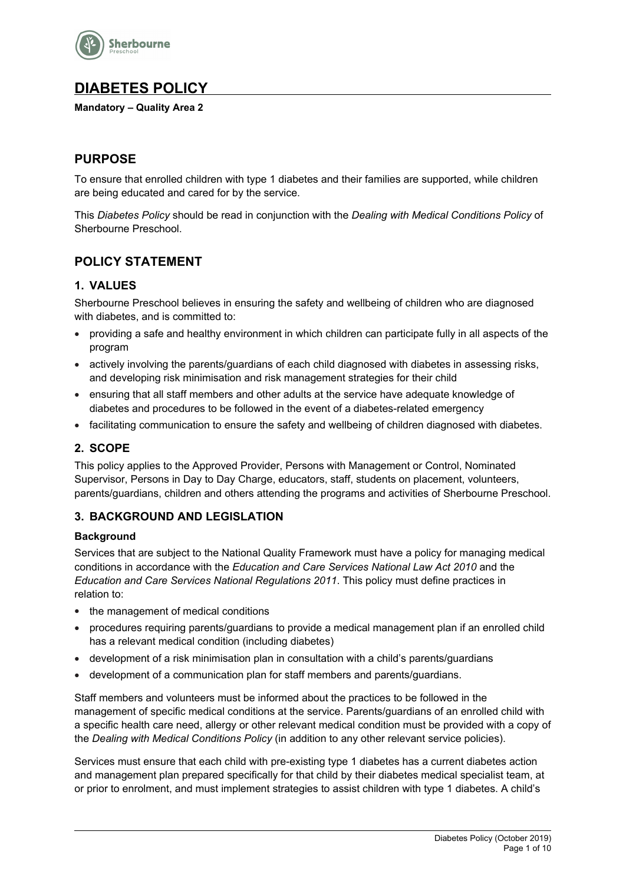

# **DIABETES POLICY**

**Mandatory – Quality Area 2**

# **PURPOSE**

To ensure that enrolled children with type 1 diabetes and their families are supported, while children are being educated and cared for by the service.

This *Diabetes Policy* should be read in conjunction with the *Dealing with Medical Conditions Policy* of Sherbourne Preschool.

# **POLICY STATEMENT**

## **1. VALUES**

Sherbourne Preschool believes in ensuring the safety and wellbeing of children who are diagnosed with diabetes, and is committed to:

- providing a safe and healthy environment in which children can participate fully in all aspects of the program
- actively involving the parents/guardians of each child diagnosed with diabetes in assessing risks, and developing risk minimisation and risk management strategies for their child
- ensuring that all staff members and other adults at the service have adequate knowledge of diabetes and procedures to be followed in the event of a diabetes-related emergency
- facilitating communication to ensure the safety and wellbeing of children diagnosed with diabetes.

# **2. SCOPE**

This policy applies to the Approved Provider, Persons with Management or Control, Nominated Supervisor, Persons in Day to Day Charge, educators, staff, students on placement, volunteers, parents/guardians, children and others attending the programs and activities of Sherbourne Preschool.

# **3. BACKGROUND AND LEGISLATION**

#### **Background**

Services that are subject to the National Quality Framework must have a policy for managing medical conditions in accordance with the *Education and Care Services National Law Act 2010* and the *Education and Care Services National Regulations 2011*. This policy must define practices in relation to:

- the management of medical conditions
- procedures requiring parents/guardians to provide a medical management plan if an enrolled child has a relevant medical condition (including diabetes)
- development of a risk minimisation plan in consultation with a child's parents/guardians
- development of a communication plan for staff members and parents/guardians.

Staff members and volunteers must be informed about the practices to be followed in the management of specific medical conditions at the service. Parents/guardians of an enrolled child with a specific health care need, allergy or other relevant medical condition must be provided with a copy of the *Dealing with Medical Conditions Policy* (in addition to any other relevant service policies).

Services must ensure that each child with pre-existing type 1 diabetes has a current diabetes action and management plan prepared specifically for that child by their diabetes medical specialist team, at or prior to enrolment, and must implement strategies to assist children with type 1 diabetes. A child's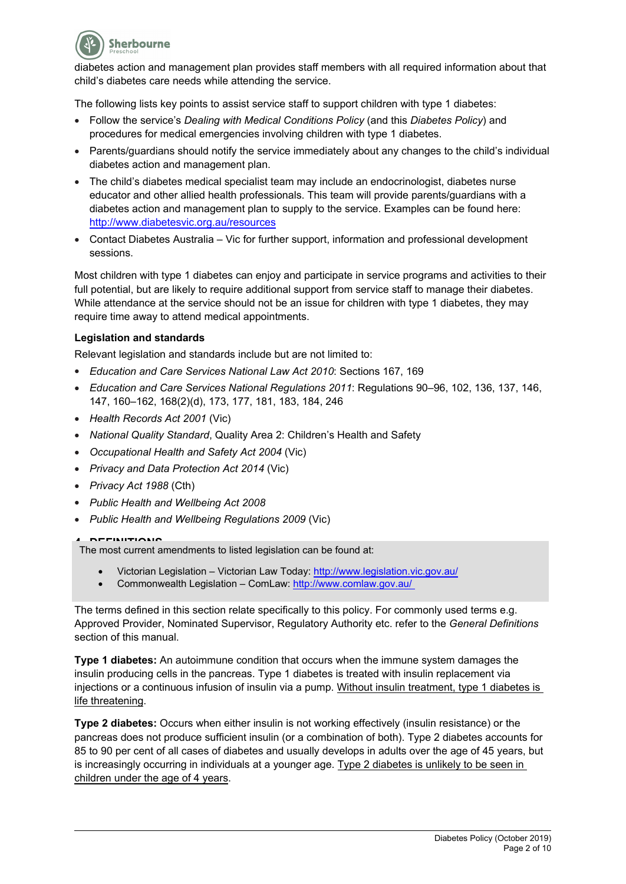

diabetes action and management plan provides staff members with all required information about that child's diabetes care needs while attending the service.

The following lists key points to assist service staff to support children with type 1 diabetes:

- Follow the service's *Dealing with Medical Conditions Policy* (and this *Diabetes Policy*) and procedures for medical emergencies involving children with type 1 diabetes.
- Parents/guardians should notify the service immediately about any changes to the child's individual diabetes action and management plan.
- The child's diabetes medical specialist team may include an endocrinologist, diabetes nurse educator and other allied health professionals. This team will provide parents/guardians with a diabetes action and management plan to supply to the service. Examples can be found here: http://www.diabetesvic.org.au/resources
- Contact Diabetes Australia Vic for further support, information and professional development sessions.

Most children with type 1 diabetes can enjoy and participate in service programs and activities to their full potential, but are likely to require additional support from service staff to manage their diabetes. While attendance at the service should not be an issue for children with type 1 diabetes, they may require time away to attend medical appointments.

#### **Legislation and standards**

Relevant legislation and standards include but are not limited to:

- *Education and Care Services National Law Act 2010*: Sections 167, 169
- *Education and Care Services National Regulations 2011*: Regulations 90–96, 102, 136, 137, 146, 147, 160–162, 168(2)(d), 173, 177, 181, 183, 184, 246
- *Health Records Act 2001* (Vic)
- *National Quality Standard*, Quality Area 2: Children's Health and Safety
- *Occupational Health and Safety Act 2004* (Vic)
- *Privacy and Data Protection Act 2014* (Vic)
- *Privacy Act 1988* (Cth)
- *Public Health and Wellbeing Act 2008*
- *Public Health and Wellbeing Regulations 2009* (Vic)

**ACCOMMONDER 1.2.14**<br>The most current amendments to listed legislation can be found at:

- Victorian Legislation Victorian Law Today: http://www.legislation.vic.gov.au/
- Commonwealth Legislation ComLaw: http://www.comlaw.gov.au/

The terms defined in this section relate specifically to this policy. For commonly used terms e.g. Approved Provider, Nominated Supervisor, Regulatory Authority etc. refer to the *General Definitions* section of this manual.

**Type 1 diabetes:** An autoimmune condition that occurs when the immune system damages the insulin producing cells in the pancreas. Type 1 diabetes is treated with insulin replacement via injections or a continuous infusion of insulin via a pump. Without insulin treatment, type 1 diabetes is life threatening.

**Type 2 diabetes:** Occurs when either insulin is not working effectively (insulin resistance) or the pancreas does not produce sufficient insulin (or a combination of both). Type 2 diabetes accounts for 85 to 90 per cent of all cases of diabetes and usually develops in adults over the age of 45 years, but is increasingly occurring in individuals at a younger age. Type 2 diabetes is unlikely to be seen in children under the age of 4 years.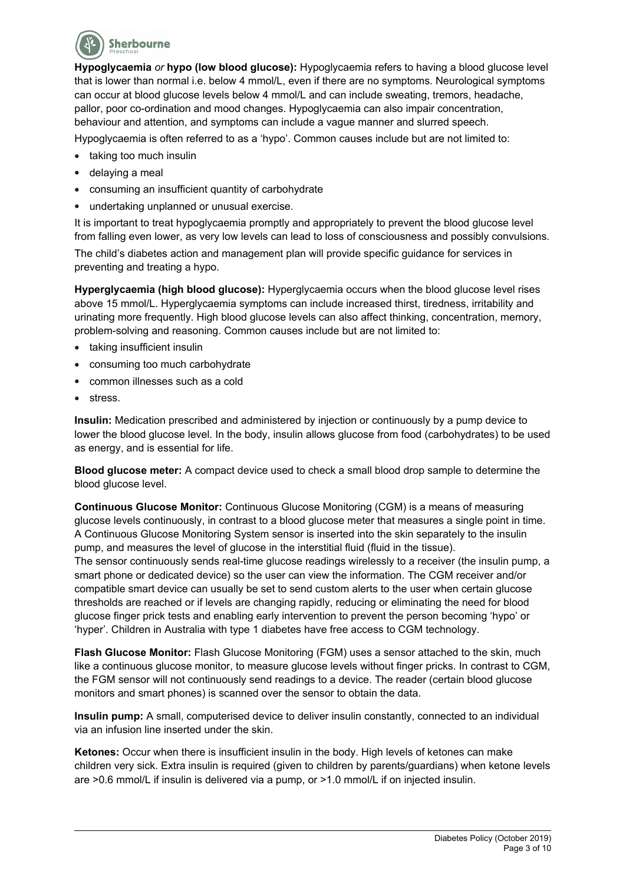

**Hypoglycaemia** *or* **hypo (low blood glucose):** Hypoglycaemia refers to having a blood glucose level that is lower than normal i.e. below 4 mmol/L, even if there are no symptoms. Neurological symptoms can occur at blood glucose levels below 4 mmol/L and can include sweating, tremors, headache, pallor, poor co-ordination and mood changes. Hypoglycaemia can also impair concentration, behaviour and attention, and symptoms can include a vague manner and slurred speech.

Hypoglycaemia is often referred to as a 'hypo'. Common causes include but are not limited to:

- taking too much insulin
- delaying a meal
- consuming an insufficient quantity of carbohydrate
- undertaking unplanned or unusual exercise.

It is important to treat hypoglycaemia promptly and appropriately to prevent the blood glucose level from falling even lower, as very low levels can lead to loss of consciousness and possibly convulsions. The child's diabetes action and management plan will provide specific guidance for services in preventing and treating a hypo.

**Hyperglycaemia (high blood glucose):** Hyperglycaemia occurs when the blood glucose level rises above 15 mmol/L. Hyperglycaemia symptoms can include increased thirst, tiredness, irritability and urinating more frequently. High blood glucose levels can also affect thinking, concentration, memory, problem-solving and reasoning. Common causes include but are not limited to:

- taking insufficient insulin
- consuming too much carbohydrate
- common illnesses such as a cold
- stress.

**Insulin:** Medication prescribed and administered by injection or continuously by a pump device to lower the blood glucose level. In the body, insulin allows glucose from food (carbohydrates) to be used as energy, and is essential for life.

**Blood glucose meter:** A compact device used to check a small blood drop sample to determine the blood glucose level.

**Continuous Glucose Monitor:** Continuous Glucose Monitoring (CGM) is a means of measuring glucose levels continuously, in contrast to a blood glucose meter that measures a single point in time. A Continuous Glucose Monitoring System sensor is inserted into the skin separately to the insulin pump, and measures the level of glucose in the interstitial fluid (fluid in the tissue).

The sensor continuously sends real-time glucose readings wirelessly to a receiver (the insulin pump, a smart phone or dedicated device) so the user can view the information. The CGM receiver and/or compatible smart device can usually be set to send custom alerts to the user when certain glucose thresholds are reached or if levels are changing rapidly, reducing or eliminating the need for blood glucose finger prick tests and enabling early intervention to prevent the person becoming 'hypo' or 'hyper'. Children in Australia with type 1 diabetes have free access to CGM technology.

**Flash Glucose Monitor:** Flash Glucose Monitoring (FGM) uses a sensor attached to the skin, much like a continuous glucose monitor, to measure glucose levels without finger pricks. In contrast to CGM, the FGM sensor will not continuously send readings to a device. The reader (certain blood glucose monitors and smart phones) is scanned over the sensor to obtain the data.

**Insulin pump:** A small, computerised device to deliver insulin constantly, connected to an individual via an infusion line inserted under the skin.

**Ketones:** Occur when there is insufficient insulin in the body. High levels of ketones can make children very sick. Extra insulin is required (given to children by parents/guardians) when ketone levels are >0.6 mmol/L if insulin is delivered via a pump, or >1.0 mmol/L if on injected insulin.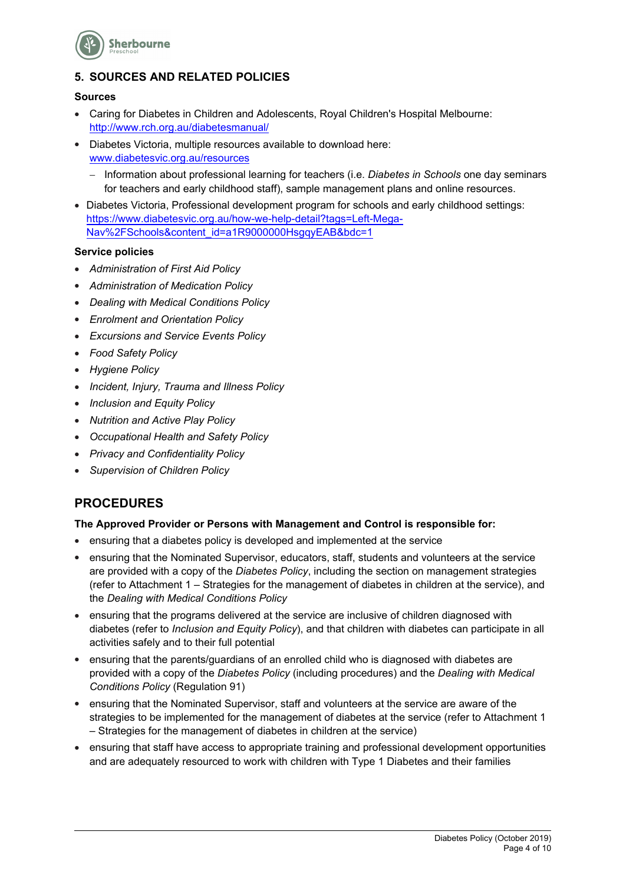

# **5. SOURCES AND RELATED POLICIES**

#### **Sources**

- Caring for Diabetes in Children and Adolescents, Royal Children's Hospital Melbourne: http://www.rch.org.au/diabetesmanual/
- Diabetes Victoria, multiple resources available to download here: www.diabetesvic.org.au/resources
	- Information about professional learning for teachers (i.e. *Diabetes in Schools* one day seminars for teachers and early childhood staff), sample management plans and online resources.
- Diabetes Victoria, Professional development program for schools and early childhood settings: https://www.diabetesvic.org.au/how-we-help-detail?tags=Left-Mega-Nav%2FSchools&content\_id=a1R9000000HsgqyEAB&bdc=1

#### **Service policies**

- *Administration of First Aid Policy*
- *Administration of Medication Policy*
- *Dealing with Medical Conditions Policy*
- *Enrolment and Orientation Policy*
- *Excursions and Service Events Policy*
- *Food Safety Policy*
- *Hygiene Policy*
- *Incident, Injury, Trauma and Illness Policy*
- *Inclusion and Equity Policy*
- *Nutrition and Active Play Policy*
- *Occupational Health and Safety Policy*
- *Privacy and Confidentiality Policy*
- *Supervision of Children Policy*

# **PROCEDURES**

#### **The Approved Provider or Persons with Management and Control is responsible for:**

- ensuring that a diabetes policy is developed and implemented at the service
- ensuring that the Nominated Supervisor, educators, staff, students and volunteers at the service are provided with a copy of the *Diabetes Policy*, including the section on management strategies (refer to Attachment 1 – Strategies for the management of diabetes in children at the service), and the *Dealing with Medical Conditions Policy*
- ensuring that the programs delivered at the service are inclusive of children diagnosed with diabetes (refer to *Inclusion and Equity Policy*), and that children with diabetes can participate in all activities safely and to their full potential
- ensuring that the parents/guardians of an enrolled child who is diagnosed with diabetes are provided with a copy of the *Diabetes Policy* (including procedures) and the *Dealing with Medical Conditions Policy* (Regulation 91)
- ensuring that the Nominated Supervisor, staff and volunteers at the service are aware of the strategies to be implemented for the management of diabetes at the service (refer to Attachment 1 – Strategies for the management of diabetes in children at the service)
- ensuring that staff have access to appropriate training and professional development opportunities and are adequately resourced to work with children with Type 1 Diabetes and their families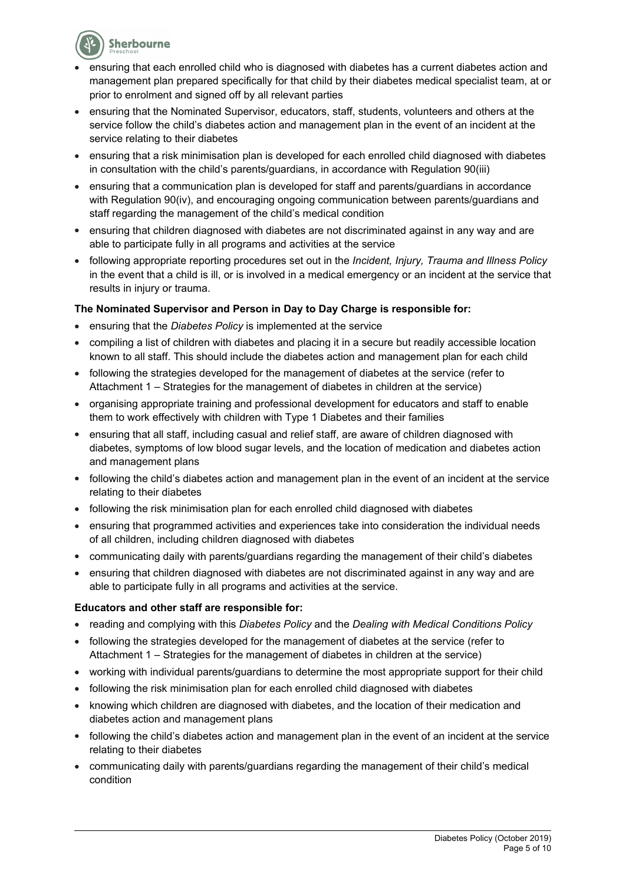

- ensuring that each enrolled child who is diagnosed with diabetes has a current diabetes action and management plan prepared specifically for that child by their diabetes medical specialist team, at or prior to enrolment and signed off by all relevant parties
- ensuring that the Nominated Supervisor, educators, staff, students, volunteers and others at the service follow the child's diabetes action and management plan in the event of an incident at the service relating to their diabetes
- ensuring that a risk minimisation plan is developed for each enrolled child diagnosed with diabetes in consultation with the child's parents/guardians, in accordance with Regulation 90(iii)
- ensuring that a communication plan is developed for staff and parents/guardians in accordance with Regulation 90(iv), and encouraging ongoing communication between parents/guardians and staff regarding the management of the child's medical condition
- ensuring that children diagnosed with diabetes are not discriminated against in any way and are able to participate fully in all programs and activities at the service
- following appropriate reporting procedures set out in the *Incident, Injury, Trauma and Illness Policy* in the event that a child is ill, or is involved in a medical emergency or an incident at the service that results in injury or trauma.

## **The Nominated Supervisor and Person in Day to Day Charge is responsible for:**

- ensuring that the *Diabetes Policy* is implemented at the service
- compiling a list of children with diabetes and placing it in a secure but readily accessible location known to all staff. This should include the diabetes action and management plan for each child
- following the strategies developed for the management of diabetes at the service (refer to Attachment 1 – Strategies for the management of diabetes in children at the service)
- organising appropriate training and professional development for educators and staff to enable them to work effectively with children with Type 1 Diabetes and their families
- ensuring that all staff, including casual and relief staff, are aware of children diagnosed with diabetes, symptoms of low blood sugar levels, and the location of medication and diabetes action and management plans
- following the child's diabetes action and management plan in the event of an incident at the service relating to their diabetes
- following the risk minimisation plan for each enrolled child diagnosed with diabetes
- ensuring that programmed activities and experiences take into consideration the individual needs of all children, including children diagnosed with diabetes
- communicating daily with parents/guardians regarding the management of their child's diabetes
- ensuring that children diagnosed with diabetes are not discriminated against in any way and are able to participate fully in all programs and activities at the service.

#### **Educators and other staff are responsible for:**

- reading and complying with this *Diabetes Policy* and the *Dealing with Medical Conditions Policy*
- following the strategies developed for the management of diabetes at the service (refer to Attachment 1 – Strategies for the management of diabetes in children at the service)
- working with individual parents/guardians to determine the most appropriate support for their child
- following the risk minimisation plan for each enrolled child diagnosed with diabetes
- knowing which children are diagnosed with diabetes, and the location of their medication and diabetes action and management plans
- following the child's diabetes action and management plan in the event of an incident at the service relating to their diabetes
- communicating daily with parents/guardians regarding the management of their child's medical condition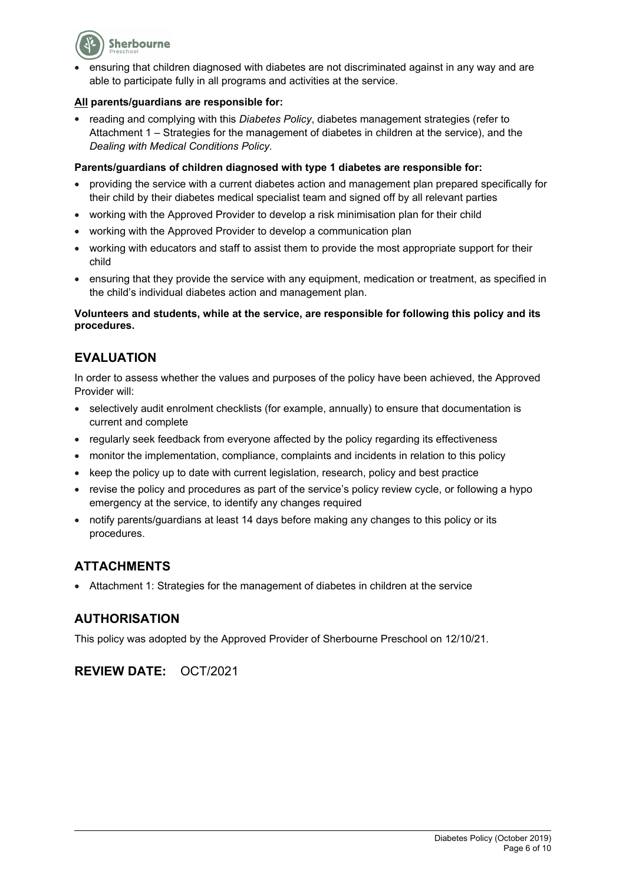

 ensuring that children diagnosed with diabetes are not discriminated against in any way and are able to participate fully in all programs and activities at the service.

## **All parents/guardians are responsible for:**

 reading and complying with this *Diabetes Policy*, diabetes management strategies (refer to Attachment 1 – Strategies for the management of diabetes in children at the service), and the *Dealing with Medical Conditions Policy.*

## **Parents/guardians of children diagnosed with type 1 diabetes are responsible for:**

- providing the service with a current diabetes action and management plan prepared specifically for their child by their diabetes medical specialist team and signed off by all relevant parties
- working with the Approved Provider to develop a risk minimisation plan for their child
- working with the Approved Provider to develop a communication plan
- working with educators and staff to assist them to provide the most appropriate support for their child
- ensuring that they provide the service with any equipment, medication or treatment, as specified in the child's individual diabetes action and management plan.

## **Volunteers and students, while at the service, are responsible for following this policy and its procedures.**

# **EVALUATION**

In order to assess whether the values and purposes of the policy have been achieved, the Approved Provider will:

- selectively audit enrolment checklists (for example, annually) to ensure that documentation is current and complete
- regularly seek feedback from everyone affected by the policy regarding its effectiveness
- monitor the implementation, compliance, complaints and incidents in relation to this policy
- keep the policy up to date with current legislation, research, policy and best practice
- revise the policy and procedures as part of the service's policy review cycle, or following a hypo emergency at the service, to identify any changes required
- notify parents/guardians at least 14 days before making any changes to this policy or its procedures.

# **ATTACHMENTS**

Attachment 1: Strategies for the management of diabetes in children at the service

# **AUTHORISATION**

This policy was adopted by the Approved Provider of Sherbourne Preschool on 12/10/21.

**REVIEW DATE:** OCT/2021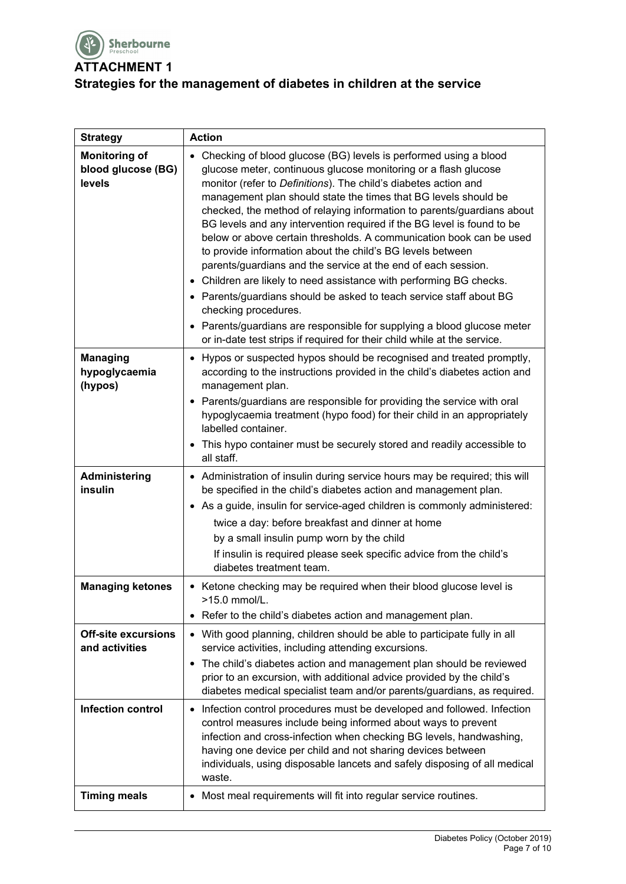

**ATTACHMENT 1**

# **Strategies for the management of diabetes in children at the service**

| <b>Strategy</b>                                      | <b>Action</b>                                                                                                                                                                                                                                                                                                                                                                                                                                                                                                                                                                                                                                                                                                                                                                                                                                                                                                                                                                 |
|------------------------------------------------------|-------------------------------------------------------------------------------------------------------------------------------------------------------------------------------------------------------------------------------------------------------------------------------------------------------------------------------------------------------------------------------------------------------------------------------------------------------------------------------------------------------------------------------------------------------------------------------------------------------------------------------------------------------------------------------------------------------------------------------------------------------------------------------------------------------------------------------------------------------------------------------------------------------------------------------------------------------------------------------|
| <b>Monitoring of</b><br>blood glucose (BG)<br>levels | • Checking of blood glucose (BG) levels is performed using a blood<br>glucose meter, continuous glucose monitoring or a flash glucose<br>monitor (refer to Definitions). The child's diabetes action and<br>management plan should state the times that BG levels should be<br>checked, the method of relaying information to parents/guardians about<br>BG levels and any intervention required if the BG level is found to be<br>below or above certain thresholds. A communication book can be used<br>to provide information about the child's BG levels between<br>parents/guardians and the service at the end of each session.<br>• Children are likely to need assistance with performing BG checks.<br>• Parents/guardians should be asked to teach service staff about BG<br>checking procedures.<br>Parents/guardians are responsible for supplying a blood glucose meter<br>$\bullet$<br>or in-date test strips if required for their child while at the service. |
| <b>Managing</b><br>hypoglycaemia<br>(hypos)          | • Hypos or suspected hypos should be recognised and treated promptly,<br>according to the instructions provided in the child's diabetes action and<br>management plan.<br>• Parents/guardians are responsible for providing the service with oral                                                                                                                                                                                                                                                                                                                                                                                                                                                                                                                                                                                                                                                                                                                             |
|                                                      | hypoglycaemia treatment (hypo food) for their child in an appropriately<br>labelled container.<br>• This hypo container must be securely stored and readily accessible to<br>all staff.                                                                                                                                                                                                                                                                                                                                                                                                                                                                                                                                                                                                                                                                                                                                                                                       |
| Administering<br>insulin                             | • Administration of insulin during service hours may be required; this will<br>be specified in the child's diabetes action and management plan.<br>• As a guide, insulin for service-aged children is commonly administered:<br>twice a day: before breakfast and dinner at home<br>by a small insulin pump worn by the child<br>If insulin is required please seek specific advice from the child's<br>diabetes treatment team.                                                                                                                                                                                                                                                                                                                                                                                                                                                                                                                                              |
| <b>Managing ketones</b>                              | • Ketone checking may be required when their blood glucose level is<br>>15.0 mmol/L<br>• Refer to the child's diabetes action and management plan.                                                                                                                                                                                                                                                                                                                                                                                                                                                                                                                                                                                                                                                                                                                                                                                                                            |
| <b>Off-site excursions</b><br>and activities         | • With good planning, children should be able to participate fully in all<br>service activities, including attending excursions.<br>The child's diabetes action and management plan should be reviewed<br>$\bullet$<br>prior to an excursion, with additional advice provided by the child's<br>diabetes medical specialist team and/or parents/guardians, as required.                                                                                                                                                                                                                                                                                                                                                                                                                                                                                                                                                                                                       |
| <b>Infection control</b>                             | Infection control procedures must be developed and followed. Infection<br>$\bullet$<br>control measures include being informed about ways to prevent<br>infection and cross-infection when checking BG levels, handwashing,<br>having one device per child and not sharing devices between<br>individuals, using disposable lancets and safely disposing of all medical<br>waste.                                                                                                                                                                                                                                                                                                                                                                                                                                                                                                                                                                                             |
| <b>Timing meals</b>                                  | Most meal requirements will fit into regular service routines.<br>$\bullet$                                                                                                                                                                                                                                                                                                                                                                                                                                                                                                                                                                                                                                                                                                                                                                                                                                                                                                   |